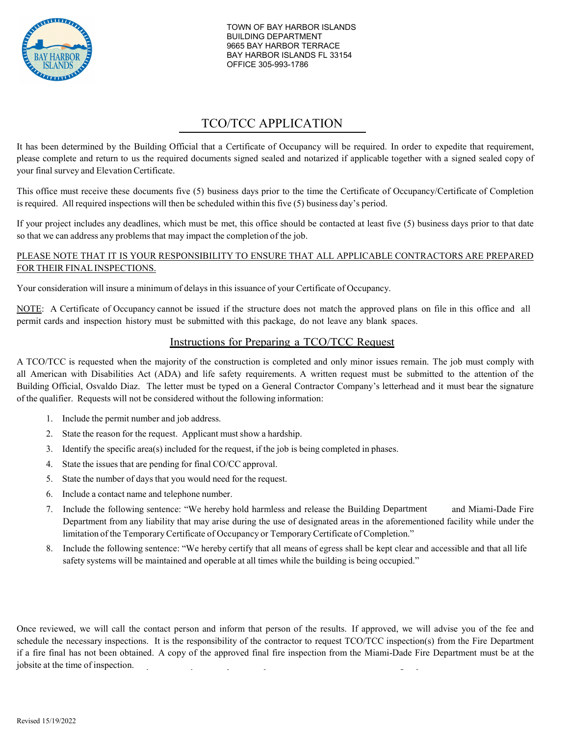

*City of Miami Gardens*  BUILDING DEPARTMENT BAY HARBOR ISLANDS FL 33154 OFFICE 305-993-1786 TOWN OF BAY HARBOR ISLANDS 9665 BAY HARBOR TERRACE

# TCO/TCC APPLICATION

It has been determined by the Building Official that a Certificate of Occupancy will be required. In order to expedite that requirement, please complete and return to us the required documents signed sealed and notarized if applicable together with a signed sealed copy of your final survey and ElevationCertificate.

This office must receive these documents five (5) business days prior to the time the Certificate of Occupancy/Certificate of Completion is required. All required inspections will then be scheduled within this five (5) business day's period.

If your project includes any deadlines, which must be met, this office should be contacted at least five (5) business days prior to that date so that we can address any problems that may impact the completion of the job.

#### PLEASE NOTE THAT IT IS YOUR RESPONSIBILITY TO ENSURE THAT ALL APPLICABLE CONTRACTORS ARE PREPARED FORTHEIR FINAL INSPECTIONS.

Your consideration will insure a minimum of delays in this issuance of your Certificate of Occupancy.

NOTE: A Certificate of Occupancy cannot be issued if the structure does not match the approved plans on file in this office and all permit cards and inspection history must be submitted with this package, do not leave any blank spaces.

### Instructions for Preparing a TCO/TCC Request

A TCO/TCC is requested when the majority of the construction is completed and only minor issues remain. The job must comply with all American with Disabilities Act (ADA) and life safety requirements. A written request must be submitted to the attention of the Building Official, Osvaldo Diaz. The letter must be typed on a General Contractor Company's letterhead and it must bear the signature of the qualifier. Requests will not be considered without the following information:

- 1. Include the permit number and job address.
- 2. State the reason for the request. Applicant must show a hardship.
- 3. Identify the specific area(s) included for the request, if the job is being completed in phases.
- 4. State the issues that are pending for final CO/CC approval.
- 5. State the number of days that you would need for the request.
- 6. Include a contact name and telephone number.
- 7. Include the following sentence: "We hereby hold harmless and release the Building Department and Miami-Dade Fire Department from any liability that may arise during the use of designated areas in the aforementioned facility while under the limitation of the Temporary Certificate of Occupancy or TemporaryCertificate of Completion."
- 8. Include the following sentence: "We hereby certify that all means of egress shall be kept clear and accessible and that all life safety systems will be maintained and operable at all times while the building is being occupied."

Once reviewed, we will call the contact person and inform that person of the results. If approved, we will advise you of the fee and schedule the necessary inspections. It is the responsibility of the contractor to request TCO/TCC inspection(s) from the Fire Department if a fire final has not been obtained. A copy of the approved final fire inspection from the Miami-Dade Fire Department must be at the jobsite at the time of inspection.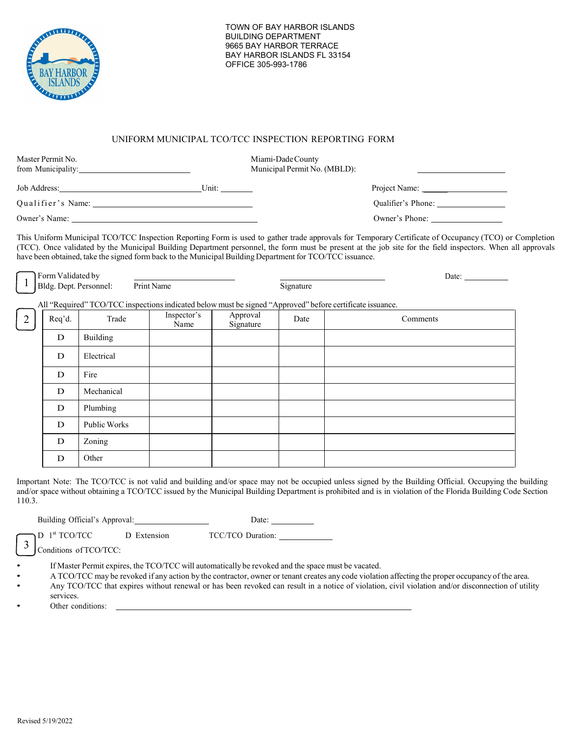

#### UNIFORM MUNICIPAL TCO/TCC INSPECTION REPORTING FORM

| Master Permit No.<br>from Municipality: 1999 |        |                                                                                                          |                     |                       | Miami-Dade County<br>Municipal Permit No. (MBLD): |                                                                                                                                                                                                                                                                                                                                                                                  |  |  |
|----------------------------------------------|--------|----------------------------------------------------------------------------------------------------------|---------------------|-----------------------|---------------------------------------------------|----------------------------------------------------------------------------------------------------------------------------------------------------------------------------------------------------------------------------------------------------------------------------------------------------------------------------------------------------------------------------------|--|--|
|                                              |        | Job Address: Unit: Unit:                                                                                 |                     |                       |                                                   |                                                                                                                                                                                                                                                                                                                                                                                  |  |  |
|                                              |        |                                                                                                          |                     |                       |                                                   | Qualifier's Phone: 2008                                                                                                                                                                                                                                                                                                                                                          |  |  |
|                                              |        |                                                                                                          |                     |                       |                                                   | Owner's Phone:                                                                                                                                                                                                                                                                                                                                                                   |  |  |
|                                              |        | have been obtained, take the signed form back to the Municipal Building Department for TCO/TCC issuance. |                     |                       |                                                   | This Uniform Municipal TCO/TCC Inspection Reporting Form is used to gather trade approvals for Temporary Certificate of Occupancy (TCO) or Completion<br>(TCC). Once validated by the Municipal Building Department personnel, the form must be present at the job site for the field inspectors. When all approvals<br>Date: $\frac{1}{\sqrt{1-\frac{1}{2}} \cdot \frac{1}{2}}$ |  |  |
|                                              |        | The Form Validated by<br>Bldg. Dept. Personnel: Print Name                                               |                     |                       | Signature                                         | All "Required" TCO/TCC inspections indicated below must be signed "Approved" before certificate issuance.                                                                                                                                                                                                                                                                        |  |  |
| 2                                            | Req'd. | Trade                                                                                                    | Inspector's<br>Name | Approval<br>Signature | Date                                              | Comments                                                                                                                                                                                                                                                                                                                                                                         |  |  |
|                                              | D      | Building                                                                                                 |                     |                       |                                                   |                                                                                                                                                                                                                                                                                                                                                                                  |  |  |
|                                              | D      | Electrical                                                                                               |                     |                       |                                                   |                                                                                                                                                                                                                                                                                                                                                                                  |  |  |

|   | ________     |  |  |
|---|--------------|--|--|
| D | Fire         |  |  |
| D | Mechanical   |  |  |
| D | Plumbing     |  |  |
| D | Public Works |  |  |
| D | Zoning       |  |  |
| D | Other        |  |  |

Important Note: The TCO/TCC is not valid and building and/or space may not be occupied unless signed by the Building Official. Occupying the building and/or space without obtaining a TCO/TCC issued by the Municipal Building Department is prohibited and is in violation of the Florida Building Code Section 110.3.

Building Official's Approval: Date: Date:

D 1<sup>st</sup> TCO/TCC D Extension TCC/TCO Duration:

Conditions of TCO/TCC: 3

• If Master Permit expires, the TCO/TCC will automatically be revoked and the space must be vacated.

• A TCO/TCC may be revoked if any action by the contractor, owner or tenant creates any code violation affecting the proper occupancy of the area.

• Any TCO/TCC that expires without renewal or has been revoked can result in a notice of violation, civil violation and/or disconnection of utility services.

Other conditions: